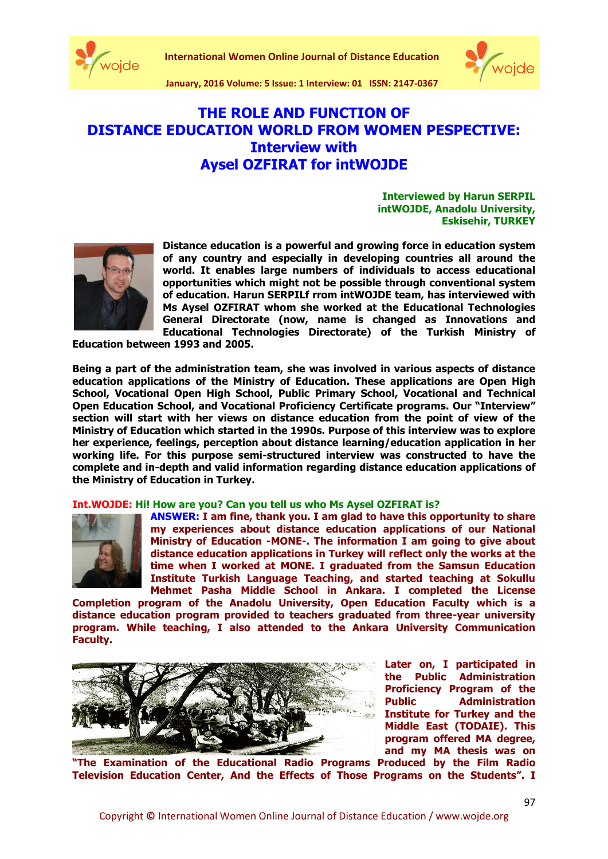





**January, 2016 Volume: 5 Issue: 1 Interview: 01 ISSN: 2147-0367**

# **THE ROLE AND FUNCTION OF DISTANCE EDUCATION WORLD FROM WOMEN PESPECTIVE: Interview with Aysel OZFIRAT for intWOJDE**

**Interviewed by Harun SERPIL intWOJDE, Anadolu University, Eskisehir, TURKEY**



**Distance education is a powerful and growing force in education system of any country and especially in developing countries all around the world. It enables large numbers of individuals to access educational opportunities which might not be possible through conventional system of education. Harun SERPILf rrom intWOJDE team, has interviewed with Ms Aysel OZFIRAT whom she worked at the Educational Technologies General Directorate (now, name is changed as Innovations and Educational Technologies Directorate) of the Turkish Ministry of** 

**Education between 1993 and 2005.**

**Being a part of the administration team, she was involved in various aspects of distance education applications of the Ministry of Education. These applications are Open High School, Vocational Open High School, Public Primary School, Vocational and Technical Open Education School, and Vocational Proficiency Certificate programs. Our "Interview" section will start with her views on distance education from the point of view of the Ministry of Education which started in the 1990s. Purpose of this interview was to explore her experience, feelings, perception about distance learning/education application in her working life. For this purpose semi-structured interview was constructed to have the complete and in-depth and valid information regarding distance education applications of the Ministry of Education in Turkey.** 

#### **Int.WOJDE: Hi! How are you? Can you tell us who Ms Aysel OZFIRAT is?**



**ANSWER: I am fine, thank you. I am glad to have this opportunity to share my experiences about distance education applications of our National Ministry of Education -MONE-. The information I am going to give about distance education applications in Turkey will reflect only the works at the time when I worked at MONE. I graduated from the Samsun Education Institute Turkish Language Teaching, and started teaching at Sokullu Mehmet Pasha Middle School in Ankara. I completed the License**

**Completion program of the Anadolu University, Open Education Faculty which is a distance education program provided to teachers graduated from three-year university program. While teaching, I also attended to the Ankara University Communication Faculty.**



**Later on, I participated in the Public Administration Proficiency Program of the Public Administration Institute for Turkey and the Middle East (TODAIE). This program offered MA degree, and my MA thesis was on**

**"The Examination of the Educational Radio Programs Produced by the Film Radio Television Education Center, And the Effects of Those Programs on the Students". I**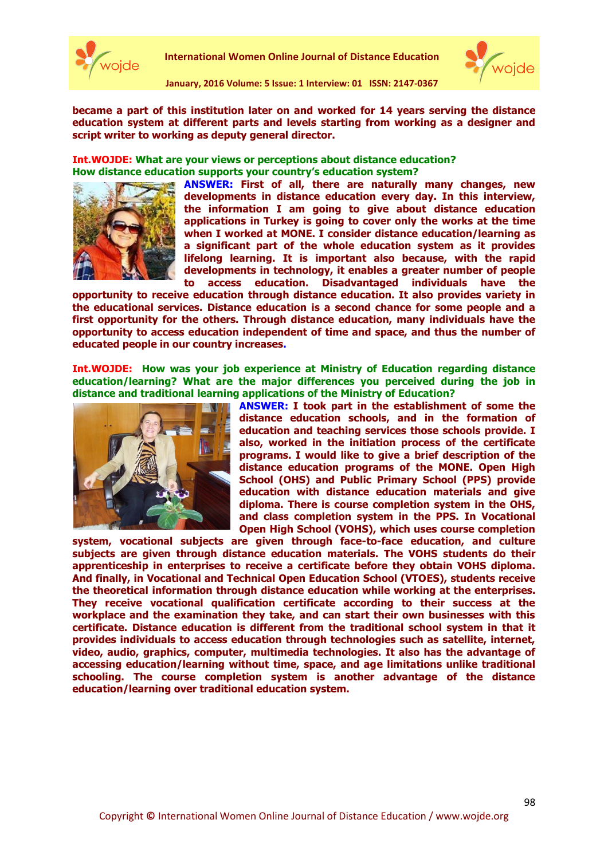



**January, 2016 Volume: 5 Issue: 1 Interview: 01 ISSN: 2147-0367**

**became a part of this institution later on and worked for 14 years serving the distance education system at different parts and levels starting from working as a designer and script writer to working as deputy general director.**

**Int.WOJDE: What are your views or perceptions about distance education? How distance education supports your country's education system?** 



**ANSWER: First of all, there are naturally many changes, new developments in distance education every day. In this interview, the information I am going to give about distance education applications in Turkey is going to cover only the works at the time when I worked at MONE. I consider distance education/learning as a significant part of the whole education system as it provides lifelong learning. It is important also because, with the rapid developments in technology, it enables a greater number of people to access education. Disadvantaged individuals have the** 

**opportunity to receive education through distance education. It also provides variety in the educational services. Distance education is a second chance for some people and a first opportunity for the others. Through distance education, many individuals have the opportunity to access education independent of time and space, and thus the number of educated people in our country increases.** 

**Int.WOJDE: How was your job experience at Ministry of Education regarding distance education/learning? What are the major differences you perceived during the job in distance and traditional learning applications of the Ministry of Education?**



**ANSWER: I took part in the establishment of some the distance education schools, and in the formation of education and teaching services those schools provide. I also, worked in the initiation process of the certificate programs. I would like to give a brief description of the distance education programs of the MONE. Open High School (OHS) and Public Primary School (PPS) provide education with distance education materials and give diploma. There is course completion system in the OHS, and class completion system in the PPS. In Vocational Open High School (VOHS), which uses course completion** 

**system, vocational subjects are given through face-to-face education, and culture subjects are given through distance education materials. The VOHS students do their apprenticeship in enterprises to receive a certificate before they obtain VOHS diploma. And finally, in Vocational and Technical Open Education School (VTOES), students receive the theoretical information through distance education while working at the enterprises. They receive vocational qualification certificate according to their success at the workplace and the examination they take, and can start their own businesses with this certificate. Distance education is different from the traditional school system in that it provides individuals to access education through technologies such as satellite, internet, video, audio, graphics, computer, multimedia technologies. It also has the advantage of accessing education/learning without time, space, and age limitations unlike traditional schooling. The course completion system is another advantage of the distance education/learning over traditional education system.**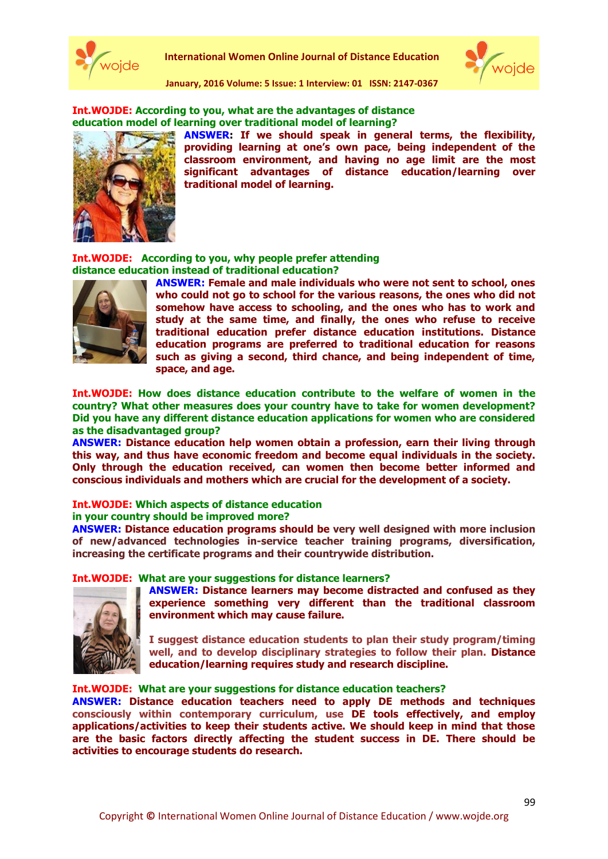



**January, 2016 Volume: 5 Issue: 1 Interview: 01 ISSN: 2147-0367**

## **Int.WOJDE: According to you, what are the advantages of distance education model of learning over traditional model of learning?**



**ANSWER: If we should speak in general terms, the flexibility, providing learning at one's own pace, being independent of the classroom environment, and having no age limit are the most significant advantages of distance education/learning over traditional model of learning.** 

## **Int.WOJDE: According to you, why people prefer attending distance education instead of traditional education?**



**ANSWER: Female and male individuals who were not sent to school, ones who could not go to school for the various reasons, the ones who did not somehow have access to schooling, and the ones who has to work and study at the same time, and finally, the ones who refuse to receive traditional education prefer distance education institutions. Distance education programs are preferred to traditional education for reasons such as giving a second, third chance, and being independent of time, space, and age.** 

**Int.WOJDE: How does distance education contribute to the welfare of women in the country? What other measures does your country have to take for women development? Did you have any different distance education applications for women who are considered as the disadvantaged group?**

**ANSWER: Distance education help women obtain a profession, earn their living through this way, and thus have economic freedom and become equal individuals in the society. Only through the education received, can women then become better informed and conscious individuals and mothers which are crucial for the development of a society.** 

#### **Int.WOJDE: Which aspects of distance education**

#### **in your country should be improved more?**

**ANSWER: Distance education programs should be very well designed with more inclusion of new/advanced technologies in-service teacher training programs, diversification, increasing the certificate programs and their countrywide distribution.**

#### **Int.WOJDE: What are your suggestions for distance learners?**



**ANSWER: Distance learners may become distracted and confused as they experience something very different than the traditional classroom environment which may cause failure.** 

**I suggest distance education students to plan their study program/timing well, and to develop disciplinary strategies to follow their plan. Distance education/learning requires study and research discipline.**

### **Int.WOJDE: What are your suggestions for distance education teachers?**

**ANSWER: Distance education teachers need to apply DE methods and techniques consciously within contemporary curriculum, use DE tools effectively, and employ applications/activities to keep their students active. We should keep in mind that those are the basic factors directly affecting the student success in DE. There should be activities to encourage students do research.**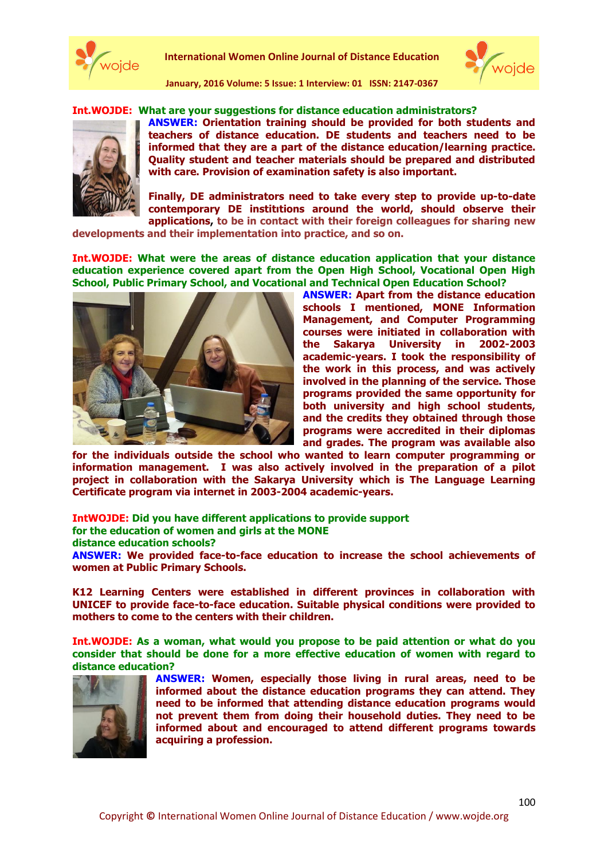

**International Women Online Journal of Distance Education**



**January, 2016 Volume: 5 Issue: 1 Interview: 01 ISSN: 2147-0367**

## **Int.WOJDE: What are your suggestions for distance education administrators?**



**ANSWER: Orientation training should be provided for both students and teachers of distance education. DE students and teachers need to be informed that they are a part of the distance education/learning practice. Quality student and teacher materials should be prepared and distributed with care. Provision of examination safety is also important.** 

**Finally, DE administrators need to take every step to provide up-to-date contemporary DE institıtions around the world, should observe their applications, to be in contact with their foreign colleagues for sharing new** 

**developments and their implementation into practice, and so on.**

**Int.WOJDE: What were the areas of distance education application that your distance education experience covered apart from the Open High School, Vocational Open High School, Public Primary School, and Vocational and Technical Open Education School?**



**ANSWER: Apart from the distance education schools I mentioned, MONE Information Management, and Computer Programming courses were initiated in collaboration with the Sakarya University in 2002-2003 academic-years. I took the responsibility of the work in this process, and was actively involved in the planning of the service. Those programs provided the same opportunity for both university and high school students, and the credits they obtained through those programs were accredited in their diplomas and grades. The program was available also** 

**for the individuals outside the school who wanted to learn computer programming or information management. I was also actively involved in the preparation of a pilot project in collaboration with the Sakarya University which is The Language Learning Certificate program via internet in 2003-2004 academic-years.**

**IntWOJDE: Did you have different applications to provide support** 

**for the education of women and girls at the MONE** 

**distance education schools?**

**ANSWER: We provided face-to-face education to increase the school achievements of women at Public Primary Schools.** 

**K12 Learning Centers were established in different provinces in collaboration with UNICEF to provide face-to-face education. Suitable physical conditions were provided to mothers to come to the centers with their children.** 

**Int.WOJDE: As a woman, what would you propose to be paid attention or what do you consider that should be done for a more effective education of women with regard to distance education?**



**ANSWER: Women, especially those living in rural areas, need to be informed about the distance education programs they can attend. They need to be informed that attending distance education programs would not prevent them from doing their household duties. They need to be informed about and encouraged to attend different programs towards acquiring a profession.**